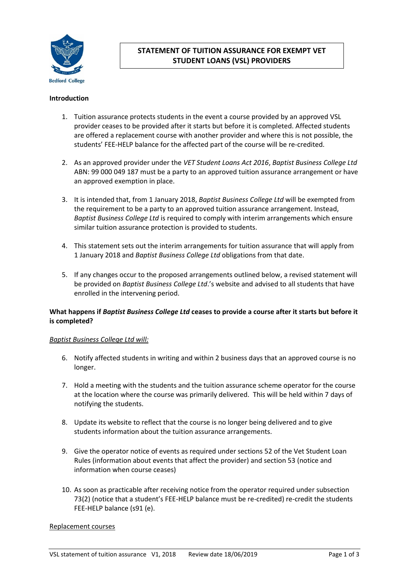

# **STATEMENT OF TUITION ASSURANCE FOR EXEMPT VET STUDENT LOANS (VSL) PROVIDERS**

### **Introduction**

- 1. Tuition assurance protects students in the event a course provided by an approved VSL provider ceases to be provided after it starts but before it is completed. Affected students are offered a replacement course with another provider and where this is not possible, the students' FEE-HELP balance for the affected part of the course will be re-credited.
- 2. As an approved provider under the *VET Student Loans Act 2016*, *Baptist Business College Ltd* ABN: 99 000 049 187 must be a party to an approved tuition assurance arrangement or have an approved exemption in place.
- 3. It is intended that, from 1 January 2018, *Baptist Business College Ltd* will be exempted from the requirement to be a party to an approved tuition assurance arrangement. Instead, *Baptist Business College Ltd* is required to comply with interim arrangements which ensure similar tuition assurance protection is provided to students.
- 4. This statement sets out the interim arrangements for tuition assurance that will apply from 1 January 2018 and *Baptist Business College Ltd* obligations from that date.
- 5. If any changes occur to the proposed arrangements outlined below, a revised statement will be provided on *Baptist Business College Ltd*.'s website and advised to all students that have enrolled in the intervening period.

# **What happens if** *Baptist Business College Ltd* **ceases to provide a course after it starts but before it is completed?**

### *Baptist Business College Ltd will:*

- 6. Notify affected students in writing and within 2 business days that an approved course is no longer.
- 7. Hold a meeting with the students and the tuition assurance scheme operator for the course at the location where the course was primarily delivered. This will be held within 7 days of notifying the students.
- 8. Update its website to reflect that the course is no longer being delivered and to give students information about the tuition assurance arrangements.
- 9. Give the operator notice of events as required under sections 52 of the Vet Student Loan Rules (information about events that affect the provider) and section 53 (notice and information when course ceases)
- 10. As soon as practicable after receiving notice from the operator required under subsection 73(2) (notice that a student's FEE-HELP balance must be re-credited) re-credit the students FEE-HELP balance (s91 (e).

#### Replacement courses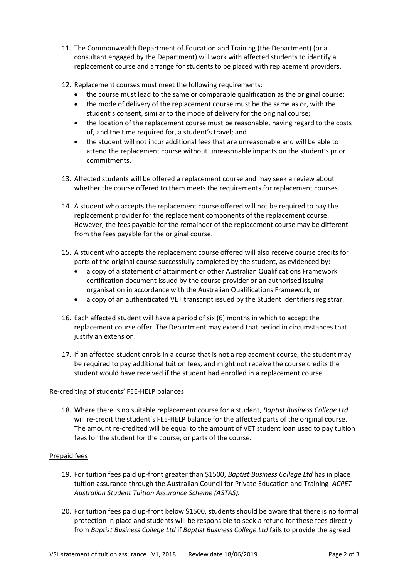- 11. The Commonwealth Department of Education and Training (the Department) (or a consultant engaged by the Department) will work with affected students to identify a replacement course and arrange for students to be placed with replacement providers.
- 12. Replacement courses must meet the following requirements:
	- the course must lead to the same or comparable qualification as the original course;
	- the mode of delivery of the replacement course must be the same as or, with the student's consent, similar to the mode of delivery for the original course;
	- the location of the replacement course must be reasonable, having regard to the costs of, and the time required for, a student's travel; and
	- the student will not incur additional fees that are unreasonable and will be able to attend the replacement course without unreasonable impacts on the student's prior commitments.
- 13. Affected students will be offered a replacement course and may seek a review about whether the course offered to them meets the requirements for replacement courses.
- 14. A student who accepts the replacement course offered will not be required to pay the replacement provider for the replacement components of the replacement course. However, the fees payable for the remainder of the replacement course may be different from the fees payable for the original course.
- 15. A student who accepts the replacement course offered will also receive course credits for parts of the original course successfully completed by the student, as evidenced by:
	- a copy of a statement of attainment or other Australian Qualifications Framework certification document issued by the course provider or an authorised issuing organisation in accordance with the Australian Qualifications Framework; or
	- a copy of an authenticated VET transcript issued by the Student Identifiers registrar.
- 16. Each affected student will have a period of six (6) months in which to accept the replacement course offer. The Department may extend that period in circumstances that justify an extension.
- 17. If an affected student enrols in a course that is not a replacement course, the student may be required to pay additional tuition fees, and might not receive the course credits the student would have received if the student had enrolled in a replacement course.

# Re-crediting of students' FEE-HELP balances

18. Where there is no suitable replacement course for a student, *Baptist Business College Ltd* will re-credit the student's FEE-HELP balance for the affected parts of the original course. The amount re-credited will be equal to the amount of VET student loan used to pay tuition fees for the student for the course, or parts of the course.

# Prepaid fees

- 19. For tuition fees paid up-front greater than \$1500, *Baptist Business College Ltd* has in place tuition assurance through the Australian Council for Private Education and Training *ACPET Australian Student Tuition Assurance Scheme (ASTAS).*
- 20. For tuition fees paid up-front below \$1500, students should be aware that there is no formal protection in place and students will be responsible to seek a refund for these fees directly from *Baptist Business College Ltd* if *Baptist Business College Ltd* fails to provide the agreed